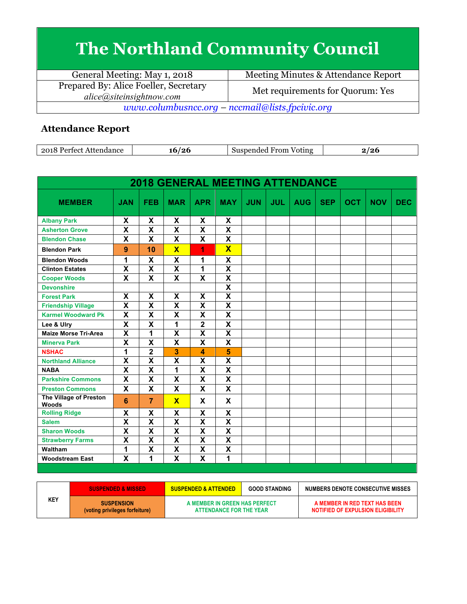## **The Northland Community Council**

| General Meeting: May 1, 2018                                           | Meeting Minutes & Attendance Report |  |  |  |
|------------------------------------------------------------------------|-------------------------------------|--|--|--|
| Prepared By: Alice Foeller, Secretary<br>alice(a) site insight now.com | Met requirements for Quorum: Yes    |  |  |  |
| www.columbusncc.org – nccmail@lists.fpcivic.org                        |                                     |  |  |  |

## **Attendance Report**

| 2018<br>Attendance<br>Perfect | '2t<br>10. | $ -$<br>From<br>Suspended<br>Voting | <i>101</i><br>∠∪ |
|-------------------------------|------------|-------------------------------------|------------------|

| <b>2018 GENERAL MEETING ATTENDANCE</b> |                           |                           |                           |                           |                           |            |            |            |            |            |            |            |
|----------------------------------------|---------------------------|---------------------------|---------------------------|---------------------------|---------------------------|------------|------------|------------|------------|------------|------------|------------|
| <b>MEMBER</b>                          | <b>JAN</b>                | <b>FEB</b>                | <b>MAR</b>                | <b>APR</b>                | <b>MAY</b>                | <b>JUN</b> | <b>JUL</b> | <b>AUG</b> | <b>SEP</b> | <b>OCT</b> | <b>NOV</b> | <b>DEC</b> |
| <b>Albany Park</b>                     | X                         | X                         | X                         | X                         | X                         |            |            |            |            |            |            |            |
| <b>Asherton Grove</b>                  | $\overline{\mathbf{x}}$   | $\overline{\mathbf{X}}$   | $\overline{\mathbf{X}}$   | $\overline{\mathsf{x}}$   | $\overline{\mathbf{x}}$   |            |            |            |            |            |            |            |
| <b>Blendon Chase</b>                   | X                         | X                         | X                         | X                         | X                         |            |            |            |            |            |            |            |
| <b>Blendon Park</b>                    | 9                         | 10                        | $\overline{\mathbf{x}}$   | 1                         | $\overline{\mathbf{X}}$   |            |            |            |            |            |            |            |
| <b>Blendon Woods</b>                   | 1                         | $\boldsymbol{\mathsf{X}}$ | $\boldsymbol{\mathsf{X}}$ | 1                         | $\boldsymbol{\mathsf{X}}$ |            |            |            |            |            |            |            |
| <b>Clinton Estates</b>                 | $\overline{\mathbf{x}}$   | $\overline{\mathbf{X}}$   | $\overline{\mathbf{x}}$   | 1                         | $\overline{\mathbf{x}}$   |            |            |            |            |            |            |            |
| <b>Cooper Woods</b>                    | $\overline{\mathbf{x}}$   | $\overline{\mathbf{x}}$   | $\overline{\mathbf{x}}$   | $\overline{\mathsf{x}}$   | $\overline{\mathbf{X}}$   |            |            |            |            |            |            |            |
| <b>Devonshire</b>                      |                           |                           |                           |                           | $\overline{\mathbf{x}}$   |            |            |            |            |            |            |            |
| <b>Forest Park</b>                     | $\boldsymbol{\mathsf{x}}$ | $\overline{\mathbf{x}}$   | $\boldsymbol{\mathsf{x}}$ | $\overline{\mathbf{X}}$   | $\overline{\mathbf{x}}$   |            |            |            |            |            |            |            |
| <b>Friendship Village</b>              | $\overline{\mathbf{x}}$   | $\overline{\mathbf{X}}$   | $\overline{\mathbf{x}}$   | X                         | $\overline{\mathbf{x}}$   |            |            |            |            |            |            |            |
| <b>Karmel Woodward Pk</b>              | $\overline{\mathsf{X}}$   | X                         | $\overline{\mathsf{X}}$   | $\overline{\mathsf{x}}$   | $\mathsf{x}$              |            |            |            |            |            |            |            |
| Lee & Ulry                             | $\overline{\mathbf{X}}$   | $\overline{\textsf{x}}$   | 1                         | $\overline{\mathbf{2}}$   | $\overline{\mathbf{X}}$   |            |            |            |            |            |            |            |
| <b>Maize Morse Tri-Area</b>            | $\overline{\mathsf{x}}$   | 1                         | $\boldsymbol{\mathsf{X}}$ | X                         | $\overline{\mathsf{x}}$   |            |            |            |            |            |            |            |
| <b>Minerva Park</b>                    | $\overline{\mathsf{x}}$   | $\overline{\textsf{x}}$   | $\overline{\mathbf{x}}$   | $\overline{\mathsf{x}}$   | $\overline{\mathsf{x}}$   |            |            |            |            |            |            |            |
| <b>NSHAC</b>                           | 1                         | $\overline{\mathbf{2}}$   | 3                         | 4                         | 5                         |            |            |            |            |            |            |            |
| <b>Northland Alliance</b>              | $\boldsymbol{\mathsf{X}}$ | $\boldsymbol{\mathsf{X}}$ | X                         | X                         | $\overline{\mathbf{x}}$   |            |            |            |            |            |            |            |
| <b>NABA</b>                            | $\overline{\textbf{x}}$   | $\overline{\mathsf{x}}$   | 1                         | $\overline{\mathsf{x}}$   | $\overline{\mathsf{x}}$   |            |            |            |            |            |            |            |
| <b>Parkshire Commons</b>               | X                         | X                         | X                         | X                         | X                         |            |            |            |            |            |            |            |
| <b>Preston Commons</b>                 | X                         | X                         | X                         | X                         | X                         |            |            |            |            |            |            |            |
| The Village of Preston<br><b>Woods</b> | $6\phantom{1}$            | $\overline{7}$            | $\overline{\mathbf{X}}$   | $\boldsymbol{\mathsf{x}}$ | $\mathsf{x}$              |            |            |            |            |            |            |            |
| <b>Rolling Ridge</b>                   | X                         | X                         | $\overline{\mathbf{x}}$   | $\overline{\mathsf{x}}$   | $\overline{\mathsf{x}}$   |            |            |            |            |            |            |            |
| <b>Salem</b>                           | $\boldsymbol{\mathsf{X}}$ | X                         | $\boldsymbol{\mathsf{X}}$ | $\overline{\mathsf{x}}$   | $\overline{\mathbf{X}}$   |            |            |            |            |            |            |            |
| <b>Sharon Woods</b>                    | $\overline{\mathbf{X}}$   | $\overline{\mathbf{x}}$   | $\overline{\mathbf{X}}$   | $\overline{\mathbf{X}}$   | $\overline{\mathbf{X}}$   |            |            |            |            |            |            |            |
| <b>Strawberry Farms</b>                | $\overline{\mathsf{x}}$   | $\overline{\textsf{x}}$   | $\overline{\textsf{x}}$   | $\overline{\mathsf{x}}$   | $\overline{\textsf{x}}$   |            |            |            |            |            |            |            |
| Waltham                                | $\overline{\mathbf{1}}$   | $\overline{\mathbf{X}}$   | $\overline{\mathbf{X}}$   | $\overline{\mathbf{X}}$   | $\overline{\mathbf{X}}$   |            |            |            |            |            |            |            |
| <b>Woodstream East</b>                 | X                         | 1                         | X                         | X                         | 1                         |            |            |            |            |            |            |            |

|            | <b>SUSPENDED &amp; MISSED</b>                       | <b>GOOD STANDING</b><br><b>SUSPENDED &amp; ATTENDED</b>  |  | NUMBERS DENOTE CONSECUTIVE MISSES                                  |
|------------|-----------------------------------------------------|----------------------------------------------------------|--|--------------------------------------------------------------------|
| <b>KEY</b> | <b>SUSPENSION</b><br>(voting privileges forfeiture) | A MEMBER IN GREEN HAS PERFECT<br>ATTENDANCE FOR THE YEAR |  | A MEMBER IN RED TEXT HAS BEEN<br>NOTIFIED OF EXPULSION ELIGIBILITY |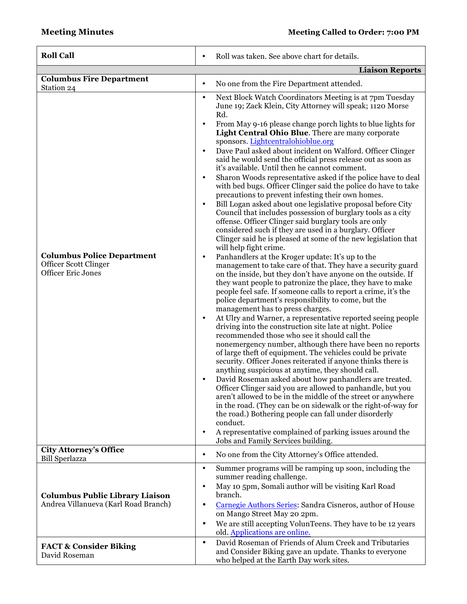| <b>Roll Call</b>                                                                        | Roll was taken. See above chart for details.<br>$\bullet$                                                                                                                                                                                                                                                                                                                                                                           |
|-----------------------------------------------------------------------------------------|-------------------------------------------------------------------------------------------------------------------------------------------------------------------------------------------------------------------------------------------------------------------------------------------------------------------------------------------------------------------------------------------------------------------------------------|
|                                                                                         | <b>Liaison Reports</b>                                                                                                                                                                                                                                                                                                                                                                                                              |
| <b>Columbus Fire Department</b><br>Station 24                                           | No one from the Fire Department attended.<br>$\bullet$                                                                                                                                                                                                                                                                                                                                                                              |
|                                                                                         | Next Block Watch Coordinators Meeting is at 7pm Tuesday<br>$\bullet$<br>June 19; Zack Klein, City Attorney will speak; 1120 Morse<br>Rd.                                                                                                                                                                                                                                                                                            |
|                                                                                         | From May 9-16 please change porch lights to blue lights for<br>$\bullet$<br>Light Central Ohio Blue. There are many corporate<br>sponsors. Lightcentralohioblue.org                                                                                                                                                                                                                                                                 |
|                                                                                         | Dave Paul asked about incident on Walford. Officer Clinger<br>$\bullet$<br>said he would send the official press release out as soon as<br>it's available. Until then he cannot comment.                                                                                                                                                                                                                                            |
|                                                                                         | Sharon Woods representative asked if the police have to deal<br>$\bullet$<br>with bed bugs. Officer Clinger said the police do have to take                                                                                                                                                                                                                                                                                         |
| <b>Columbus Police Department</b><br>Officer Scott Clinger<br><b>Officer Eric Jones</b> | precautions to prevent infesting their own homes.<br>Bill Logan asked about one legislative proposal before City<br>Council that includes possession of burglary tools as a city<br>offense. Officer Clinger said burglary tools are only<br>considered such if they are used in a burglary. Officer<br>Clinger said he is pleased at some of the new legislation that                                                              |
|                                                                                         | will help fight crime.<br>Panhandlers at the Kroger update: It's up to the<br>$\bullet$<br>management to take care of that. They have a security guard<br>on the inside, but they don't have anyone on the outside. If                                                                                                                                                                                                              |
|                                                                                         | they want people to patronize the place, they have to make<br>people feel safe. If someone calls to report a crime, it's the<br>police department's responsibility to come, but the<br>management has to press charges.                                                                                                                                                                                                             |
|                                                                                         | At Ulry and Warner, a representative reported seeing people<br>$\bullet$<br>driving into the construction site late at night. Police<br>recommended those who see it should call the<br>nonemergency number, although there have been no reports<br>of large theft of equipment. The vehicles could be private<br>security. Officer Jones reiterated if anyone thinks there is<br>anything suspicious at anytime, they should call. |
|                                                                                         | David Roseman asked about how panhandlers are treated.<br>$\bullet$<br>Officer Clinger said you are allowed to panhandle, but you<br>aren't allowed to be in the middle of the street or anywhere<br>in the road. (They can be on sidewalk or the right-of-way for<br>the road.) Bothering people can fall under disorderly<br>conduct.                                                                                             |
|                                                                                         | A representative complained of parking issues around the<br>$\bullet$<br>Jobs and Family Services building.                                                                                                                                                                                                                                                                                                                         |
| <b>City Attorney's Office</b><br><b>Bill Sperlazza</b>                                  | No one from the City Attorney's Office attended.<br>$\bullet$                                                                                                                                                                                                                                                                                                                                                                       |
|                                                                                         | Summer programs will be ramping up soon, including the<br>$\bullet$<br>summer reading challenge.                                                                                                                                                                                                                                                                                                                                    |
| <b>Columbus Public Library Liaison</b><br>Andrea Villanueva (Karl Road Branch)          | May 10 5pm, Somali author will be visiting Karl Road<br>$\bullet$<br>branch.<br>Carnegie Authors Series: Sandra Cisneros, author of House<br>$\bullet$                                                                                                                                                                                                                                                                              |
|                                                                                         | on Mango Street May 20 2pm.<br>We are still accepting VolunTeens. They have to be 12 years<br>٠<br>old. Applications are online.                                                                                                                                                                                                                                                                                                    |
| <b>FACT &amp; Consider Biking</b><br>David Roseman                                      | David Roseman of Friends of Alum Creek and Tributaries<br>$\bullet$<br>and Consider Biking gave an update. Thanks to everyone<br>who helped at the Earth Day work sites.                                                                                                                                                                                                                                                            |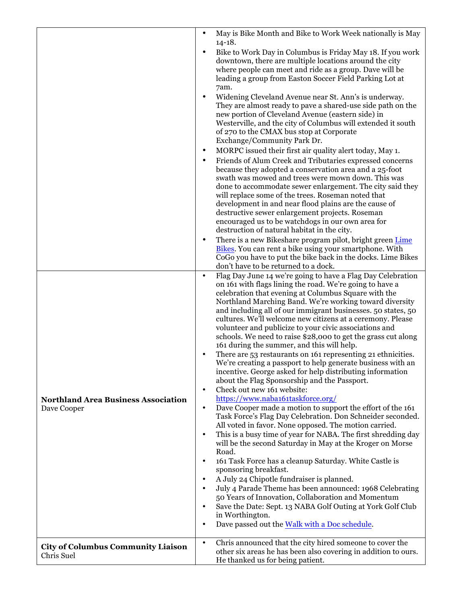|                                                           | May is Bike Month and Bike to Work Week nationally is May<br>$\bullet$<br>$14 - 18.$<br>Bike to Work Day in Columbus is Friday May 18. If you work<br>$\bullet$<br>downtown, there are multiple locations around the city<br>where people can meet and ride as a group. Dave will be                                                                                                                                                                                                                                                                                                                                                                                                                                                                                                                                                                                                                                                                                                                                                                                                                                                                                            |
|-----------------------------------------------------------|---------------------------------------------------------------------------------------------------------------------------------------------------------------------------------------------------------------------------------------------------------------------------------------------------------------------------------------------------------------------------------------------------------------------------------------------------------------------------------------------------------------------------------------------------------------------------------------------------------------------------------------------------------------------------------------------------------------------------------------------------------------------------------------------------------------------------------------------------------------------------------------------------------------------------------------------------------------------------------------------------------------------------------------------------------------------------------------------------------------------------------------------------------------------------------|
|                                                           | leading a group from Easton Soccer Field Parking Lot at<br>7am.<br>Widening Cleveland Avenue near St. Ann's is underway.<br>٠<br>They are almost ready to pave a shared-use side path on the<br>new portion of Cleveland Avenue (eastern side) in<br>Westerville, and the city of Columbus will extended it south                                                                                                                                                                                                                                                                                                                                                                                                                                                                                                                                                                                                                                                                                                                                                                                                                                                               |
|                                                           | of 270 to the CMAX bus stop at Corporate<br>Exchange/Community Park Dr.<br>MORPC issued their first air quality alert today, May 1.<br>$\bullet$<br>Friends of Alum Creek and Tributaries expressed concerns<br>٠<br>because they adopted a conservation area and a 25-foot                                                                                                                                                                                                                                                                                                                                                                                                                                                                                                                                                                                                                                                                                                                                                                                                                                                                                                     |
|                                                           | swath was mowed and trees were mown down. This was<br>done to accommodate sewer enlargement. The city said they<br>will replace some of the trees. Roseman noted that<br>development in and near flood plains are the cause of<br>destructive sewer enlargement projects. Roseman<br>encouraged us to be watchdogs in our own area for<br>destruction of natural habitat in the city.                                                                                                                                                                                                                                                                                                                                                                                                                                                                                                                                                                                                                                                                                                                                                                                           |
|                                                           | There is a new Bikeshare program pilot, bright green Lime<br>$\bullet$<br>Bikes. You can rent a bike using your smartphone. With<br>CoGo you have to put the bike back in the docks. Lime Bikes<br>don't have to be returned to a dock.                                                                                                                                                                                                                                                                                                                                                                                                                                                                                                                                                                                                                                                                                                                                                                                                                                                                                                                                         |
| <b>Northland Area Business Association</b><br>Dave Cooper | Flag Day June 14 we're going to have a Flag Day Celebration<br>$\bullet$<br>on 161 with flags lining the road. We're going to have a<br>celebration that evening at Columbus Square with the<br>Northland Marching Band. We're working toward diversity<br>and including all of our immigrant businesses. 50 states, 50<br>cultures. We'll welcome new citizens at a ceremony. Please<br>volunteer and publicize to your civic associations and<br>schools. We need to raise \$28,000 to get the grass cut along<br>161 during the summer, and this will help.<br>There are 53 restaurants on 161 representing 21 ethnicities.<br>٠<br>We're creating a passport to help generate business with an<br>incentive. George asked for help distributing information<br>about the Flag Sponsorship and the Passport.<br>Check out new 161 website:<br>$\bullet$<br>https://www.naba161taskforce.org/<br>Dave Cooper made a motion to support the effort of the 161<br>$\bullet$<br>Task Force's Flag Day Celebration. Don Schneider seconded.<br>All voted in favor. None opposed. The motion carried.<br>This is a busy time of year for NABA. The first shredding day<br>$\bullet$ |
|                                                           | will be the second Saturday in May at the Kroger on Morse<br>Road.<br>161 Task Force has a cleanup Saturday. White Castle is<br>$\bullet$<br>sponsoring breakfast.<br>A July 24 Chipotle fundraiser is planned.<br>$\bullet$<br>July 4 Parade Theme has been announced: 1968 Celebrating<br>50 Years of Innovation, Collaboration and Momentum<br>Save the Date: Sept. 13 NABA Golf Outing at York Golf Club<br>in Worthington.<br>Dave passed out the Walk with a Doc schedule.<br>$\bullet$                                                                                                                                                                                                                                                                                                                                                                                                                                                                                                                                                                                                                                                                                   |
| <b>City of Columbus Community Liaison</b><br>Chris Suel   | Chris announced that the city hired someone to cover the<br>$\bullet$<br>other six areas he has been also covering in addition to ours.<br>He thanked us for being patient.                                                                                                                                                                                                                                                                                                                                                                                                                                                                                                                                                                                                                                                                                                                                                                                                                                                                                                                                                                                                     |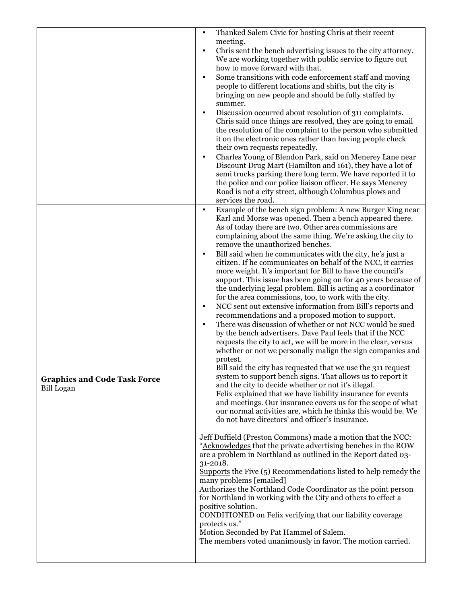|                                                          | Thanked Salem Civic for hosting Chris at their recent<br>$\bullet$<br>meeting.<br>Chris sent the bench advertising issues to the city attorney.<br>$\bullet$<br>We are working together with public service to figure out<br>how to move forward with that.<br>Some transitions with code enforcement staff and moving<br>$\bullet$<br>people to different locations and shifts, but the city is<br>bringing on new people and should be fully staffed by<br>summer.<br>Discussion occurred about resolution of 311 complaints.<br>$\bullet$<br>Chris said once things are resolved, they are going to email<br>the resolution of the complaint to the person who submitted<br>it on the electronic ones rather than having people check<br>their own requests repeatedly.<br>Charles Young of Blendon Park, said on Menerey Lane near<br>$\bullet$<br>Discount Drug Mart (Hamilton and 161), they have a lot of<br>semi trucks parking there long term. We have reported it to<br>the police and our police liaison officer. He says Menerey<br>Road is not a city street, although Columbus plows and<br>services the road.                                                                                                                                                                                                                                                                                                                                                                                                                                                                                                                                                                                                                                                                                                                                                                                                                                                                                                                                                                                                                                                                                        |
|----------------------------------------------------------|----------------------------------------------------------------------------------------------------------------------------------------------------------------------------------------------------------------------------------------------------------------------------------------------------------------------------------------------------------------------------------------------------------------------------------------------------------------------------------------------------------------------------------------------------------------------------------------------------------------------------------------------------------------------------------------------------------------------------------------------------------------------------------------------------------------------------------------------------------------------------------------------------------------------------------------------------------------------------------------------------------------------------------------------------------------------------------------------------------------------------------------------------------------------------------------------------------------------------------------------------------------------------------------------------------------------------------------------------------------------------------------------------------------------------------------------------------------------------------------------------------------------------------------------------------------------------------------------------------------------------------------------------------------------------------------------------------------------------------------------------------------------------------------------------------------------------------------------------------------------------------------------------------------------------------------------------------------------------------------------------------------------------------------------------------------------------------------------------------------------------------------------------------------------------------------------------------------------|
| <b>Graphics and Code Task Force</b><br><b>Bill Logan</b> | Example of the bench sign problem: A new Burger King near<br>$\bullet$<br>Karl and Morse was opened. Then a bench appeared there.<br>As of today there are two. Other area commissions are<br>complaining about the same thing. We're asking the city to<br>remove the unauthorized benches.<br>Bill said when he communicates with the city, he's just a<br>$\bullet$<br>citizen. If he communicates on behalf of the NCC, it carries<br>more weight. It's important for Bill to have the council's<br>support. This issue has been going on for 40 years because of<br>the underlying legal problem. Bill is acting as a coordinator<br>for the area commissions, too, to work with the city.<br>NCC sent out extensive information from Bill's reports and<br>$\bullet$<br>recommendations and a proposed motion to support.<br>There was discussion of whether or not NCC would be sued<br>$\bullet$<br>by the bench advertisers. Dave Paul feels that if the NCC<br>requests the city to act, we will be more in the clear, versus<br>whether or not we personally malign the sign companies and<br>protest.<br>Bill said the city has requested that we use the 311 request<br>system to support bench signs. That allows us to report it<br>and the city to decide whether or not it's illegal.<br>Felix explained that we have liability insurance for events<br>and meetings. Our insurance covers us for the scope of what<br>our normal activities are, which he thinks this would be. We<br>do not have directors' and officer's insurance.<br>Jeff Duffield (Preston Commons) made a motion that the NCC:<br>"Acknowledges that the private advertising benches in the ROW<br>are a problem in Northland as outlined in the Report dated 03-<br>31-2018.<br>Supports the Five (5) Recommendations listed to help remedy the<br>many problems [emailed]<br>Authorizes the Northland Code Coordinator as the point person<br>for Northland in working with the City and others to effect a<br>positive solution.<br>CONDITIONED on Felix verifying that our liability coverage<br>protects us."<br>Motion Seconded by Pat Hammel of Salem.<br>The members voted unanimously in favor. The motion carried. |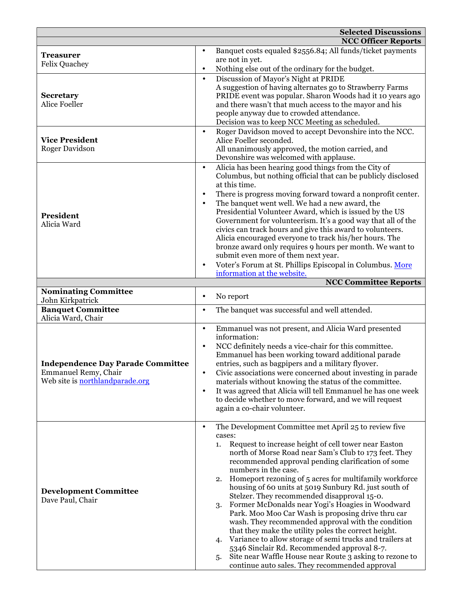|                                                                  | <b>Selected Discussions</b>                                                                                     |
|------------------------------------------------------------------|-----------------------------------------------------------------------------------------------------------------|
|                                                                  | <b>NCC Officer Reports</b>                                                                                      |
| <b>Treasurer</b>                                                 | Banquet costs equaled \$2556.84; All funds/ticket payments<br>$\bullet$                                         |
| <b>Felix Quachey</b>                                             | are not in yet.                                                                                                 |
|                                                                  | Nothing else out of the ordinary for the budget.<br>$\bullet$                                                   |
|                                                                  | Discussion of Mayor's Night at PRIDE<br>$\bullet$                                                               |
|                                                                  | A suggestion of having alternates go to Strawberry Farms                                                        |
| <b>Secretary</b>                                                 | PRIDE event was popular. Sharon Woods had it 10 years ago                                                       |
| <b>Alice Foeller</b>                                             | and there wasn't that much access to the mayor and his                                                          |
|                                                                  | people anyway due to crowded attendance.                                                                        |
|                                                                  | Decision was to keep NCC Meeting as scheduled.                                                                  |
|                                                                  | Roger Davidson moved to accept Devonshire into the NCC.<br>$\bullet$                                            |
| <b>Vice President</b><br><b>Roger Davidson</b>                   | Alice Foeller seconded.<br>All unanimously approved, the motion carried, and                                    |
|                                                                  | Devonshire was welcomed with applause.                                                                          |
|                                                                  | Alicia has been hearing good things from the City of<br>$\bullet$                                               |
|                                                                  | Columbus, but nothing official that can be publicly disclosed                                                   |
|                                                                  | at this time.                                                                                                   |
|                                                                  | There is progress moving forward toward a nonprofit center.<br>$\bullet$                                        |
|                                                                  | The banquet went well. We had a new award, the<br>$\bullet$                                                     |
| President                                                        | Presidential Volunteer Award, which is issued by the US                                                         |
| Alicia Ward                                                      | Government for volunteerism. It's a good way that all of the                                                    |
|                                                                  | civics can track hours and give this award to volunteers.                                                       |
|                                                                  | Alicia encouraged everyone to track his/her hours. The                                                          |
|                                                                  | bronze award only requires 9 hours per month. We want to                                                        |
|                                                                  | submit even more of them next year.                                                                             |
|                                                                  | Voter's Forum at St. Phillips Episcopal in Columbus. More<br>$\bullet$                                          |
|                                                                  | information at the website.<br><b>NCC Committee Reports</b>                                                     |
| <b>Nominating Committee</b>                                      |                                                                                                                 |
| John Kirkpatrick                                                 | No report<br>٠                                                                                                  |
| <b>Banquet Committee</b>                                         | The banquet was successful and well attended.<br>$\bullet$                                                      |
| Alicia Ward, Chair                                               |                                                                                                                 |
|                                                                  | Emmanuel was not present, and Alicia Ward presented<br>$\bullet$                                                |
|                                                                  | information:                                                                                                    |
|                                                                  | NCC definitely needs a vice-chair for this committee.<br>$\bullet$                                              |
|                                                                  | Emmanuel has been working toward additional parade                                                              |
| <b>Independence Day Parade Committee</b><br>Emmanuel Remy, Chair | entries, such as bagpipers and a military flyover.                                                              |
| Web site is northlandparade.org                                  | Civic associations were concerned about investing in parade                                                     |
|                                                                  |                                                                                                                 |
|                                                                  | materials without knowing the status of the committee.                                                          |
|                                                                  | It was agreed that Alicia will tell Emmanuel he has one week<br>$\bullet$                                       |
|                                                                  | to decide whether to move forward, and we will request                                                          |
|                                                                  | again a co-chair volunteer.                                                                                     |
|                                                                  | The Development Committee met April 25 to review five<br>$\bullet$                                              |
|                                                                  | cases:                                                                                                          |
|                                                                  | Request to increase height of cell tower near Easton<br>1.                                                      |
|                                                                  | north of Morse Road near Sam's Club to 173 feet. They                                                           |
|                                                                  | recommended approval pending clarification of some                                                              |
|                                                                  | numbers in the case.                                                                                            |
|                                                                  | Homeport rezoning of 5 acres for multifamily workforce<br>2.                                                    |
| <b>Development Committee</b>                                     | housing of 60 units at 5019 Sunbury Rd. just south of                                                           |
| Dave Paul, Chair                                                 | Stelzer. They recommended disapproval 15-0.                                                                     |
|                                                                  | Former McDonalds near Yogi's Hoagies in Woodward<br>3.                                                          |
|                                                                  | Park. Moo Moo Car Wash is proposing drive thru car                                                              |
|                                                                  | wash. They recommended approval with the condition<br>that they make the utility poles the correct height.      |
|                                                                  | Variance to allow storage of semi trucks and trailers at<br>4.                                                  |
|                                                                  | 5346 Sinclair Rd. Recommended approval 8-7.                                                                     |
|                                                                  | Site near Waffle House near Route 3 asking to rezone to<br>5.<br>continue auto sales. They recommended approval |